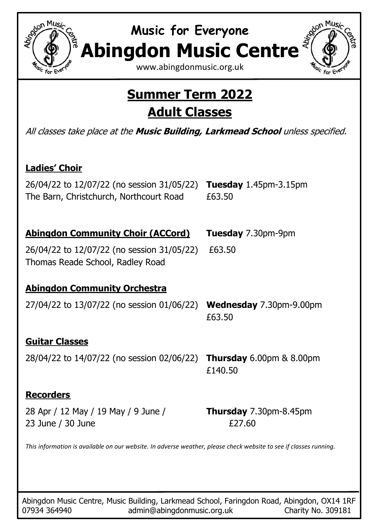

**Music for Everyone Abingdon Music Centre**

[www.abingdonmusic.org.uk](http://www.abingdonmusic.org.uk/)

## **Summer Term 2022 Adult Classes**

All classes take place at the **Music Building, Larkmead School** unless specified.

#### **Ladies' Choir**

26/04/22 to 12/07/22 (no session 31/05/22) **Tuesday** 1.45pm-3.15pm The Barn, Christchurch, Northcourt Road £63.50

#### **Abingdon Community Choir (ACCord) Tuesday** 7.30pm-9pm

26/04/22 to 12/07/22 (no session 31/05/22) £63.50 Thomas Reade School, Radley Road

#### **Abingdon Community Orchestra**

27/04/22 to 13/07/22 (no session 01/06/22) **Wednesday** 7.30pm-9.00pm £63.50

#### **Guitar Classes**

28/04/22 to 14/07/22 (no session 02/06/22) **Thursday** 6.00pm & 8.00pm

# £140.50

#### **Recorders**

٦

28 Apr / 12 May / 19 May / 9 June / **Thursday** 7.30pm-8.45pm 23 June / 30 June **E27.60** 

*This information is available on our website. In adverse weather, please check website to see if classes running.*

Abingdon Music Centre, Music Building, Larkmead School, Faringdon Road, Abingdon, OX14 1RF 07934 364940 **admin@abingdonmusic.org.uk** Charity No. 309181